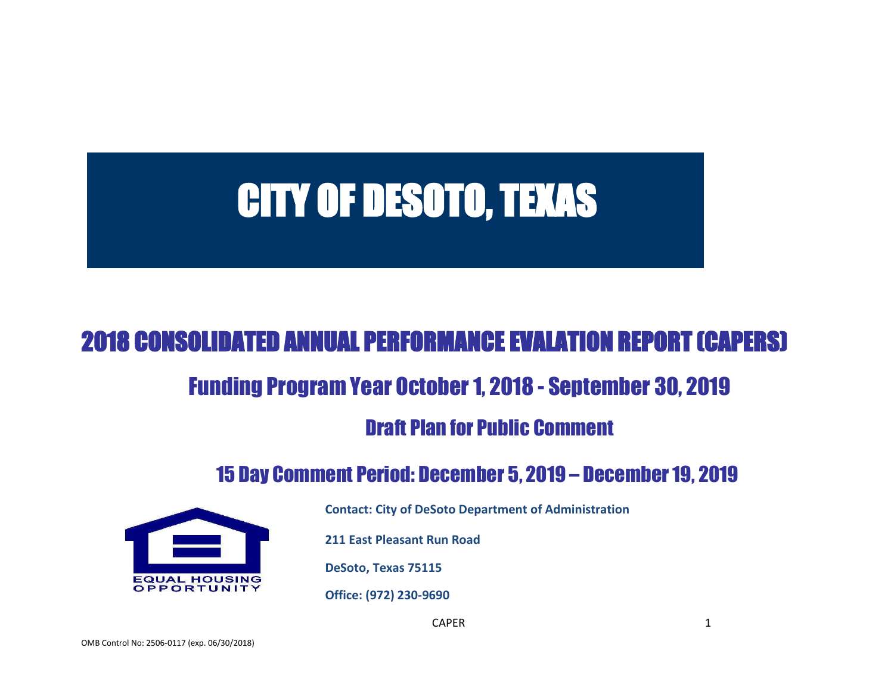# CITY OF DESOTO, TEXAS

# 2018 CONSOLIDATED ANNUAL PERFORMANCE EVALATION REPORT (CAPERS)

# Funding Program Year October 1, 2018 - September 30, 2019

# Draft Plan for Public Comment

# 15 Day Comment Period: December 5, 2019 – December 19, 2019



**Contact: City of DeSoto Department of Administration**

**211 East Pleasant Run Road**

**DeSoto, Texas 75115**

**Office: (972) 230-9690**

CAPER 1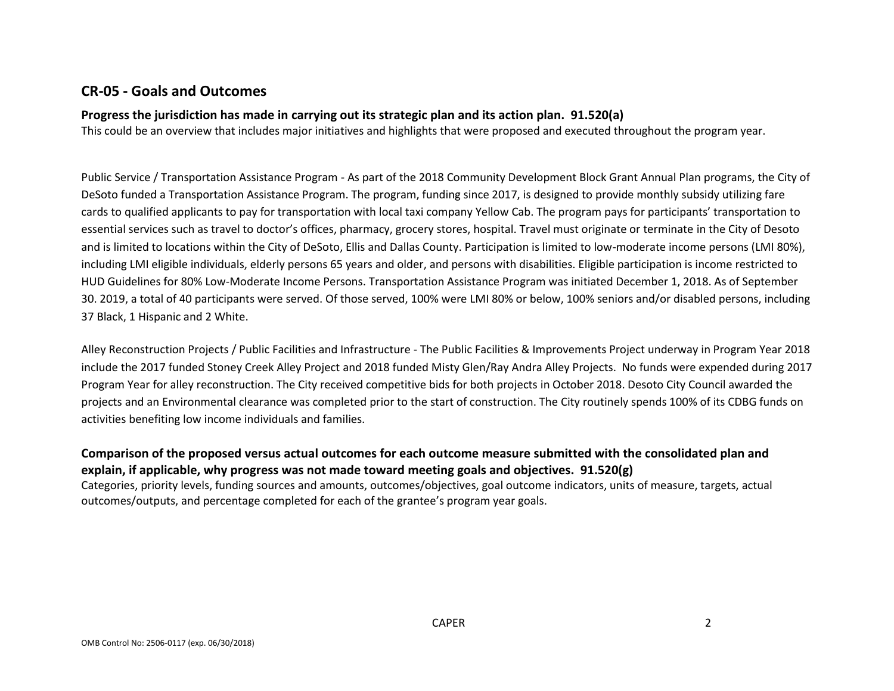## **CR-05 - Goals and Outcomes**

#### **Progress the jurisdiction has made in carrying out its strategic plan and its action plan. 91.520(a)**

This could be an overview that includes major initiatives and highlights that were proposed and executed throughout the program year.

Public Service / Transportation Assistance Program - As part of the 2018 Community Development Block Grant Annual Plan programs, the City of DeSoto funded a Transportation Assistance Program. The program, funding since 2017, is designed to provide monthly subsidy utilizing fare cards to qualified applicants to pay for transportation with local taxi company Yellow Cab. The program pays for participants' transportation to essential services such as travel to doctor's offices, pharmacy, grocery stores, hospital. Travel must originate or terminate in the City of Desoto and is limited to locations within the City of DeSoto, Ellis and Dallas County. Participation is limited to low-moderate income persons (LMI 80%), including LMI eligible individuals, elderly persons 65 years and older, and persons with disabilities. Eligible participation is income restricted to HUD Guidelines for 80% Low-Moderate Income Persons. Transportation Assistance Program was initiated December 1, 2018. As of September 30. 2019, a total of 40 participants were served. Of those served, 100% were LMI 80% or below, 100% seniors and/or disabled persons, including 37 Black, 1 Hispanic and 2 White.

Alley Reconstruction Projects / Public Facilities and Infrastructure - The Public Facilities & Improvements Project underway in Program Year 2018 include the 2017 funded Stoney Creek Alley Project and 2018 funded Misty Glen/Ray Andra Alley Projects. No funds were expended during 2017 Program Year for alley reconstruction. The City received competitive bids for both projects in October 2018. Desoto City Council awarded the projects and an Environmental clearance was completed prior to the start of construction. The City routinely spends 100% of its CDBG funds on activities benefiting low income individuals and families.

**Comparison of the proposed versus actual outcomes for each outcome measure submitted with the consolidated plan and explain, if applicable, why progress was not made toward meeting goals and objectives. 91.520(g)**

Categories, priority levels, funding sources and amounts, outcomes/objectives, goal outcome indicators, units of measure, targets, actual outcomes/outputs, and percentage completed for each of the grantee's program year goals.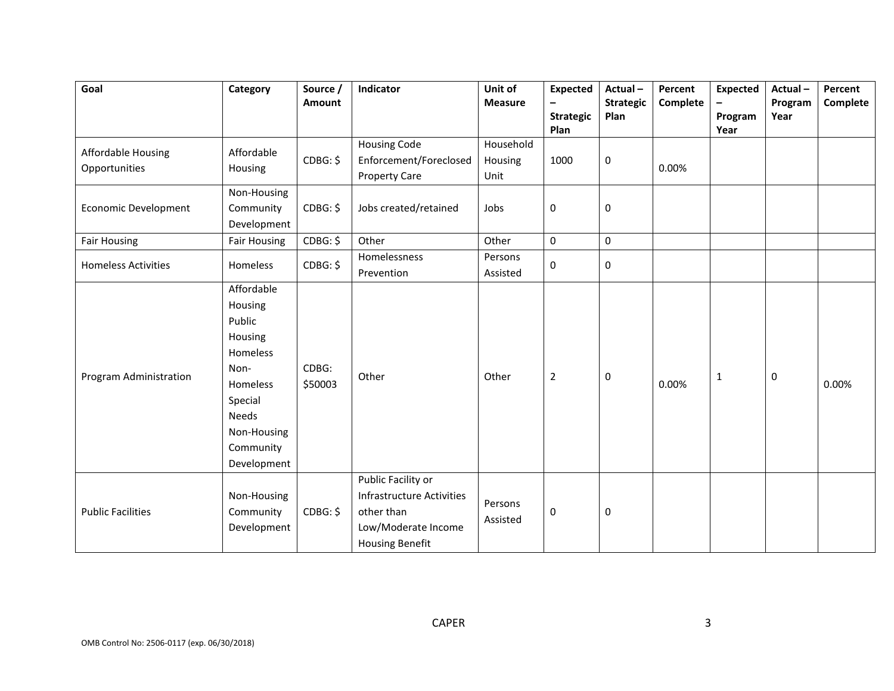| Goal                                       | Category                                                                                                                                  | Source /<br>Amount | Indicator                                                                                                             | Unit of<br><b>Measure</b>    | <b>Expected</b><br>$\overline{\phantom{m}}$<br><b>Strategic</b><br>Plan | Actual-<br><b>Strategic</b><br>Plan | Percent<br>Complete | <b>Expected</b><br>$\overline{\phantom{0}}$<br>Program<br>Year | Actual-<br>Program<br>Year | Percent<br>Complete |
|--------------------------------------------|-------------------------------------------------------------------------------------------------------------------------------------------|--------------------|-----------------------------------------------------------------------------------------------------------------------|------------------------------|-------------------------------------------------------------------------|-------------------------------------|---------------------|----------------------------------------------------------------|----------------------------|---------------------|
| <b>Affordable Housing</b><br>Opportunities | Affordable<br>Housing                                                                                                                     | CDBG: \$           | <b>Housing Code</b><br>Enforcement/Foreclosed<br><b>Property Care</b>                                                 | Household<br>Housing<br>Unit | 1000                                                                    | 0                                   | 0.00%               |                                                                |                            |                     |
| <b>Economic Development</b>                | Non-Housing<br>Community<br>Development                                                                                                   | CDBG: \$           | Jobs created/retained                                                                                                 | Jobs                         | $\mathbf 0$                                                             | 0                                   |                     |                                                                |                            |                     |
| <b>Fair Housing</b>                        | <b>Fair Housing</b>                                                                                                                       | CDBG: \$           | Other                                                                                                                 | Other                        | $\mathsf{O}\xspace$                                                     | $\mathbf 0$                         |                     |                                                                |                            |                     |
| <b>Homeless Activities</b>                 | Homeless                                                                                                                                  | CDBG: \$           | Homelessness<br>Prevention                                                                                            | Persons<br>Assisted          | 0                                                                       | 0                                   |                     |                                                                |                            |                     |
| Program Administration                     | Affordable<br>Housing<br>Public<br>Housing<br>Homeless<br>Non-<br>Homeless<br>Special<br>Needs<br>Non-Housing<br>Community<br>Development | CDBG:<br>\$50003   | Other                                                                                                                 | Other                        | $\overline{2}$                                                          | 0                                   | 0.00%               | 1                                                              | $\pmb{0}$                  | 0.00%               |
| <b>Public Facilities</b>                   | Non-Housing<br>Community<br>Development                                                                                                   | CDBG: \$           | Public Facility or<br><b>Infrastructure Activities</b><br>other than<br>Low/Moderate Income<br><b>Housing Benefit</b> | Persons<br>Assisted          | $\mathbf 0$                                                             | 0                                   |                     |                                                                |                            |                     |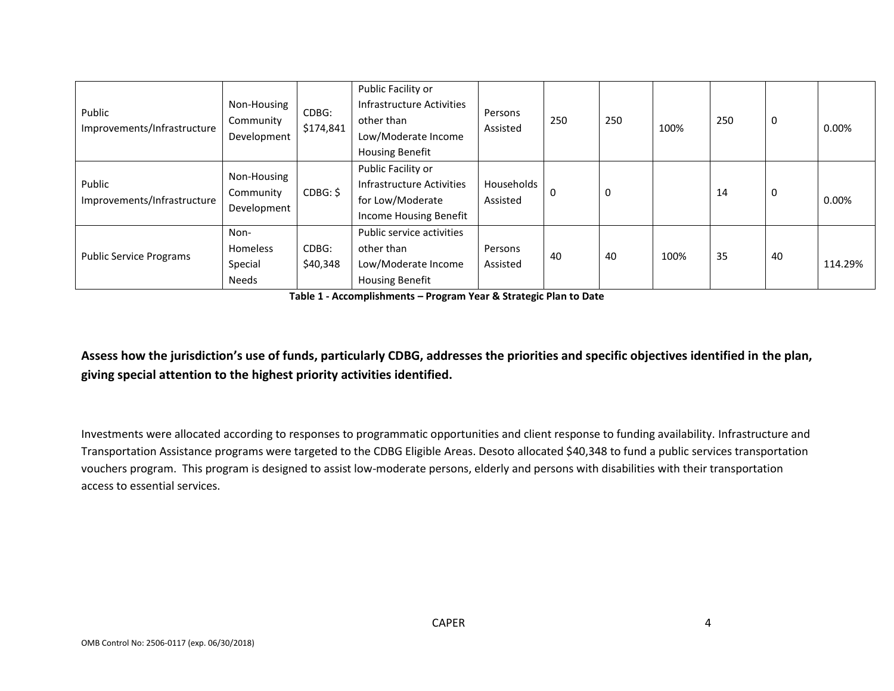| Public<br>Improvements/Infrastructure | Non-Housing<br>Community<br>Development            | CDBG:<br>\$174,841 | Public Facility or<br>Infrastructure Activities<br>other than<br>Low/Moderate Income<br><b>Housing Benefit</b> | Persons<br>Assisted    | 250 | 250 | 100% | 250 | 0  | $0.00\%$ |
|---------------------------------------|----------------------------------------------------|--------------------|----------------------------------------------------------------------------------------------------------------|------------------------|-----|-----|------|-----|----|----------|
| Public<br>Improvements/Infrastructure | Non-Housing<br>Community<br>Development            | CDBG: \$           | Public Facility or<br>Infrastructure Activities<br>for Low/Moderate<br>Income Housing Benefit                  | Households<br>Assisted | 0   |     |      | 14  | 0  | 0.00%    |
| <b>Public Service Programs</b>        | Non-<br><b>Homeless</b><br>Special<br><b>Needs</b> | CDBG:<br>\$40,348  | Public service activities<br>other than<br>Low/Moderate Income<br><b>Housing Benefit</b>                       | Persons<br>Assisted    | 40  | 40  | 100% | 35  | 40 | 114.29%  |

**Table 1 - Accomplishments – Program Year & Strategic Plan to Date**

**Assess how the jurisdiction's use of funds, particularly CDBG, addresses the priorities and specific objectives identified in the plan, giving special attention to the highest priority activities identified.**

Investments were allocated according to responses to programmatic opportunities and client response to funding availability. Infrastructure and Transportation Assistance programs were targeted to the CDBG Eligible Areas. Desoto allocated \$40,348 to fund a public services transportation vouchers program. This program is designed to assist low-moderate persons, elderly and persons with disabilities with their transportation access to essential services.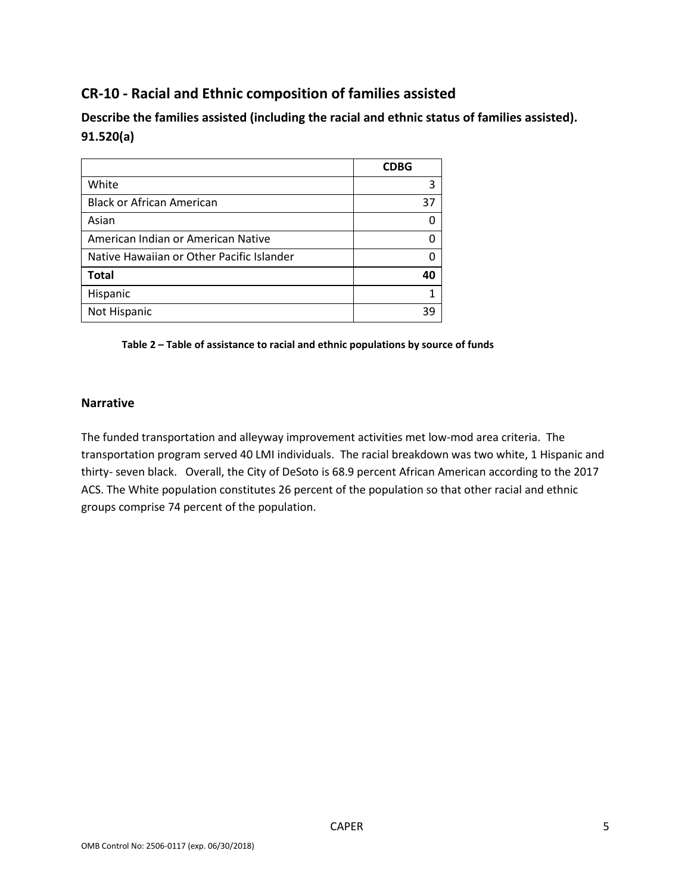## **CR-10 - Racial and Ethnic composition of families assisted**

**Describe the families assisted (including the racial and ethnic status of families assisted). 91.520(a)** 

|                                           | <b>CDBG</b> |
|-------------------------------------------|-------------|
| White                                     | 3           |
| <b>Black or African American</b>          | 37          |
| Asian                                     | n           |
| American Indian or American Native        |             |
| Native Hawaiian or Other Pacific Islander |             |
| <b>Total</b>                              | 40          |
| Hispanic                                  |             |
| Not Hispanic                              | 39          |

#### **Table 2 – Table of assistance to racial and ethnic populations by source of funds**

#### **Narrative**

The funded transportation and alleyway improvement activities met low-mod area criteria. The transportation program served 40 LMI individuals. The racial breakdown was two white, 1 Hispanic and thirty- seven black. Overall, the City of DeSoto is 68.9 percent African American according to the 2017 ACS. The White population constitutes 26 percent of the population so that other racial and ethnic groups comprise 74 percent of the population.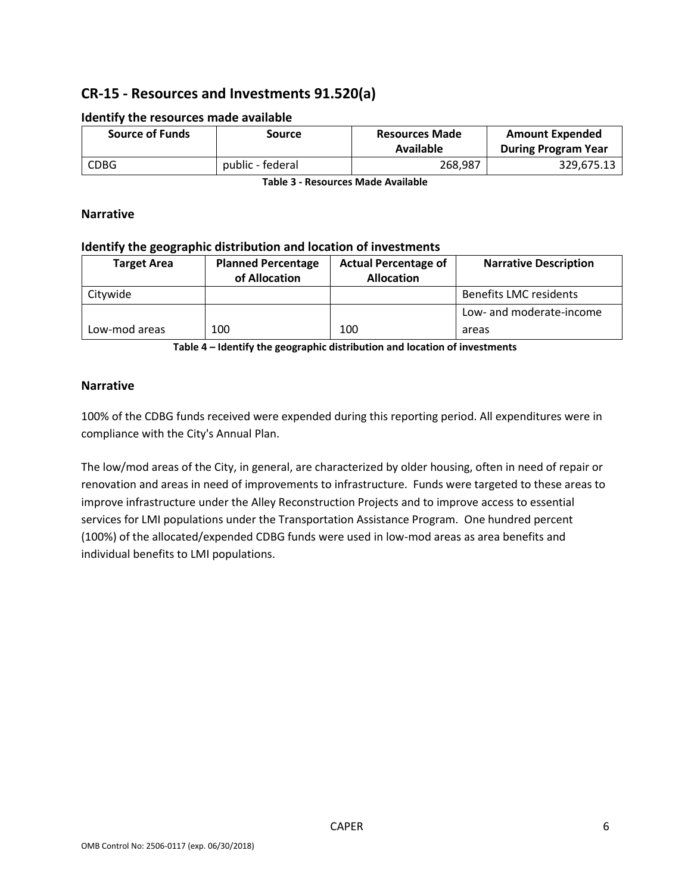## **CR-15 - Resources and Investments 91.520(a)**

| <b>Source of Funds</b> | Source           | <b>Resources Made</b><br>Available | <b>Amount Expended</b><br><b>During Program Year</b> |  |
|------------------------|------------------|------------------------------------|------------------------------------------------------|--|
| <b>CDBG</b>            | public - federal | 268,987                            | 329,675.13                                           |  |

#### **Identify the resources made available**

**Table 3 - Resources Made Available**

#### **Narrative**

#### **Identify the geographic distribution and location of investments**

| <b>Target Area</b> | <b>Planned Percentage</b><br>of Allocation | <b>Actual Percentage of</b><br><b>Allocation</b> | <b>Narrative Description</b>  |
|--------------------|--------------------------------------------|--------------------------------------------------|-------------------------------|
| Citywide           |                                            |                                                  | <b>Benefits LMC residents</b> |
|                    |                                            |                                                  | Low- and moderate-income      |
| Low-mod areas      | 100                                        | 100                                              | areas                         |

**Table 4 – Identify the geographic distribution and location of investments**

#### **Narrative**

100% of the CDBG funds received were expended during this reporting period. All expenditures were in compliance with the City's Annual Plan.

The low/mod areas of the City, in general, are characterized by older housing, often in need of repair or renovation and areas in need of improvements to infrastructure. Funds were targeted to these areas to improve infrastructure under the Alley Reconstruction Projects and to improve access to essential services for LMI populations under the Transportation Assistance Program. One hundred percent (100%) of the allocated/expended CDBG funds were used in low-mod areas as area benefits and individual benefits to LMI populations.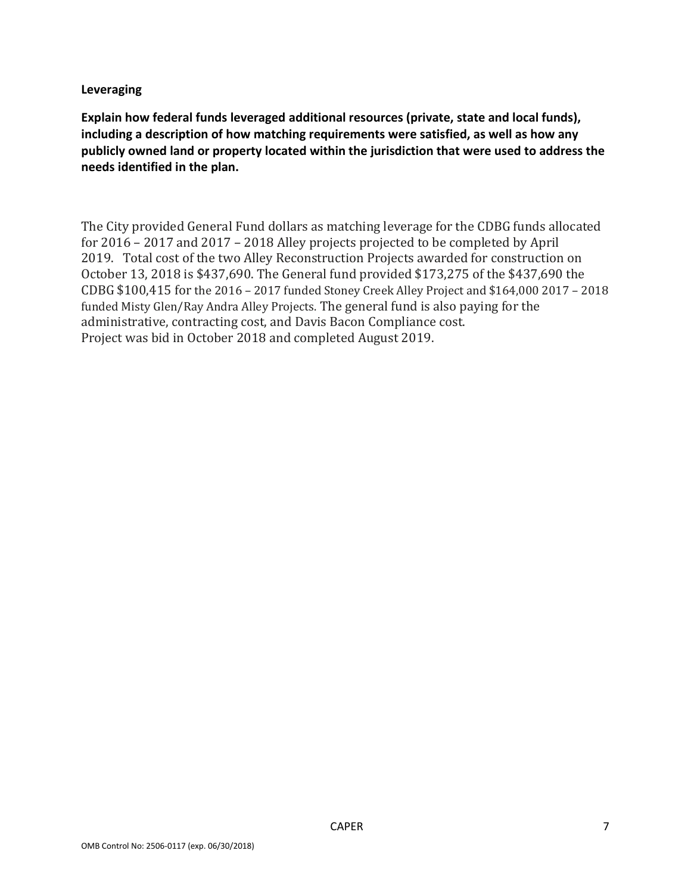#### **Leveraging**

**Explain how federal funds leveraged additional resources (private, state and local funds), including a description of how matching requirements were satisfied, as well as how any publicly owned land or property located within the jurisdiction that were used to address the needs identified in the plan.**

The City provided General Fund dollars as matching leverage for the CDBG funds allocated for 2016 – 2017 and 2017 – 2018 Alley projects projected to be completed by April 2019. Total cost of the two Alley Reconstruction Projects awarded for construction on October 13, 2018 is \$437,690. The General fund provided \$173,275 of the \$437,690 the CDBG \$100,415 for the 2016 – 2017 funded Stoney Creek Alley Project and \$164,000 2017 – 2018 funded Misty Glen/Ray Andra Alley Projects. The general fund is also paying for the administrative, contracting cost, and Davis Bacon Compliance cost. Project was bid in October 2018 and completed August 2019.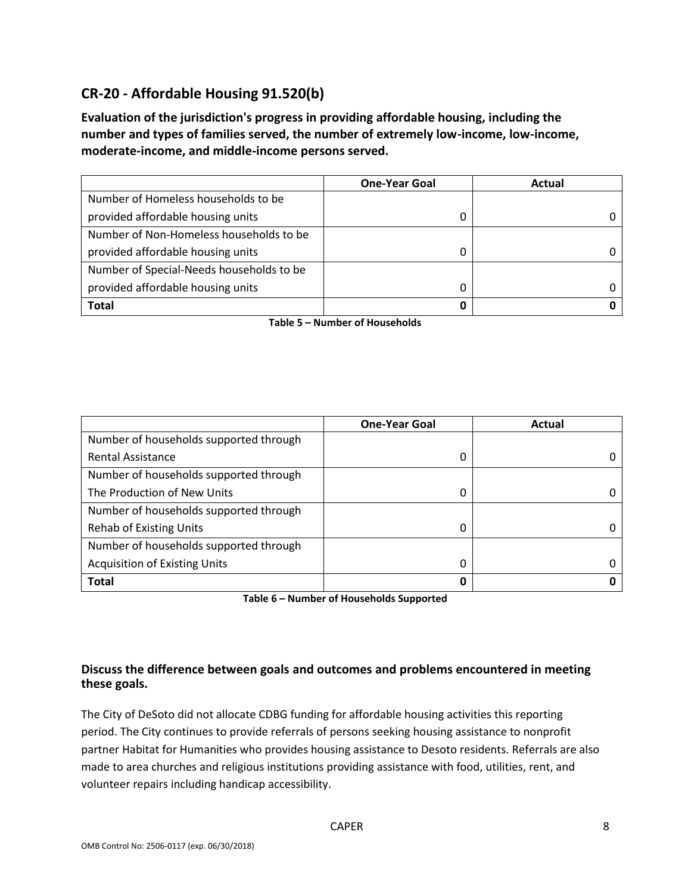## **CR-20 - Affordable Housing 91.520(b)**

**Evaluation of the jurisdiction's progress in providing affordable housing, including the number and types of families served, the number of extremely low-income, low-income, moderate-income, and middle-income persons served.**

|                                          | <b>One-Year Goal</b> | Actual |
|------------------------------------------|----------------------|--------|
| Number of Homeless households to be      |                      |        |
| provided affordable housing units        | 0                    |        |
| Number of Non-Homeless households to be  |                      |        |
| provided affordable housing units        | 0                    |        |
| Number of Special-Needs households to be |                      |        |
| provided affordable housing units        | C                    |        |
| Total                                    | 0                    |        |

**Table 5 – Number of Households**

|                                        | <b>One-Year Goal</b> | Actual |
|----------------------------------------|----------------------|--------|
| Number of households supported through |                      |        |
| <b>Rental Assistance</b>               | 0                    |        |
| Number of households supported through |                      |        |
| The Production of New Units            | 0                    |        |
| Number of households supported through |                      |        |
| <b>Rehab of Existing Units</b>         | 0                    |        |
| Number of households supported through |                      |        |
| <b>Acquisition of Existing Units</b>   | 0                    |        |
| <b>Total</b>                           | 0                    |        |

**Table 6 – Number of Households Supported**

## **Discuss the difference between goals and outcomes and problems encountered in meeting these goals.**

The City of DeSoto did not allocate CDBG funding for affordable housing activities this reporting period. The City continues to provide referrals of persons seeking housing assistance to nonprofit partner Habitat for Humanities who provides housing assistance to Desoto residents. Referrals are also made to area churches and religious institutions providing assistance with food, utilities, rent, and volunteer repairs including handicap accessibility.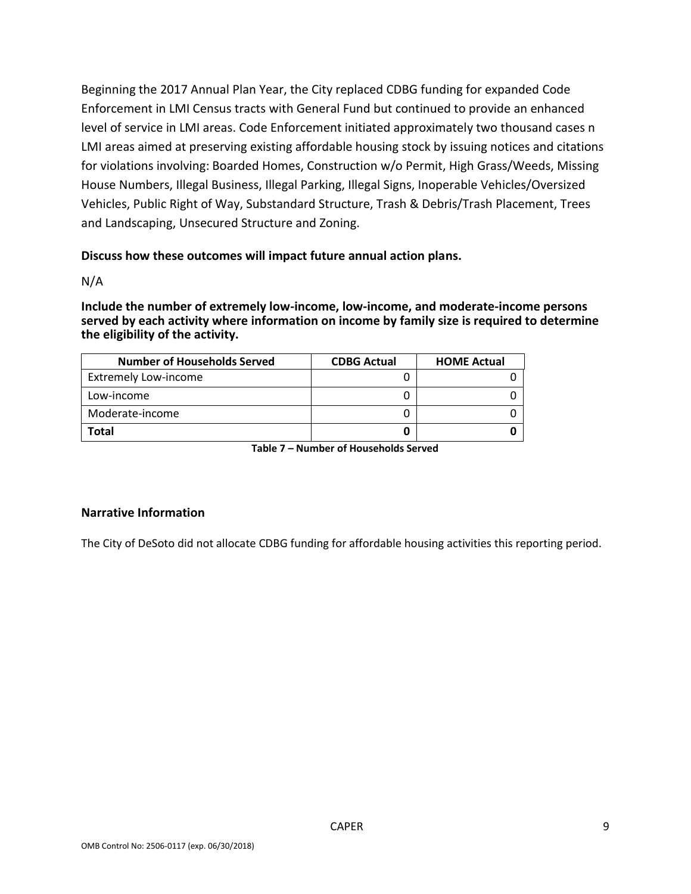Beginning the 2017 Annual Plan Year, the City replaced CDBG funding for expanded Code Enforcement in LMI Census tracts with General Fund but continued to provide an enhanced level of service in LMI areas. Code Enforcement initiated approximately two thousand cases n LMI areas aimed at preserving existing affordable housing stock by issuing notices and citations for violations involving: Boarded Homes, Construction w/o Permit, High Grass/Weeds, Missing House Numbers, Illegal Business, Illegal Parking, Illegal Signs, Inoperable Vehicles/Oversized Vehicles, Public Right of Way, Substandard Structure, Trash & Debris/Trash Placement, Trees and Landscaping, Unsecured Structure and Zoning.

#### **Discuss how these outcomes will impact future annual action plans.**

N/A

**Include the number of extremely low-income, low-income, and moderate-income persons served by each activity where information on income by family size is required to determine the eligibility of the activity.**

| <b>Number of Households Served</b> | <b>CDBG Actual</b> | <b>HOME Actual</b> |
|------------------------------------|--------------------|--------------------|
| <b>Extremely Low-income</b>        |                    |                    |
| Low-income                         |                    |                    |
| Moderate-income                    |                    |                    |
| Total                              |                    |                    |

**Table 7 – Number of Households Served**

#### **Narrative Information**

The City of DeSoto did not allocate CDBG funding for affordable housing activities this reporting period.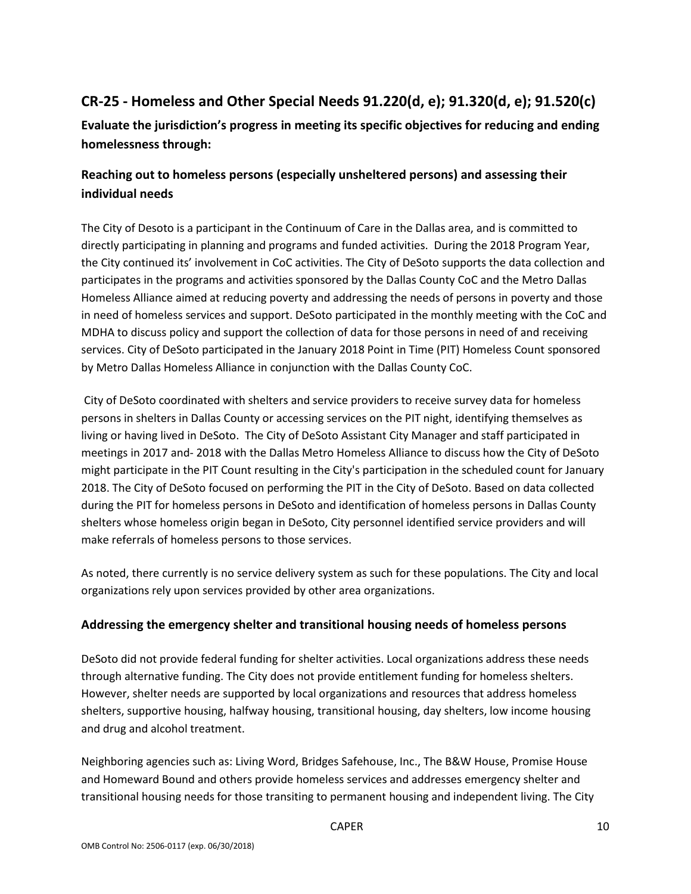## **CR-25 - Homeless and Other Special Needs 91.220(d, e); 91.320(d, e); 91.520(c)**

**Evaluate the jurisdiction's progress in meeting its specific objectives for reducing and ending homelessness through:**

## **Reaching out to homeless persons (especially unsheltered persons) and assessing their individual needs**

The City of Desoto is a participant in the Continuum of Care in the Dallas area, and is committed to directly participating in planning and programs and funded activities. During the 2018 Program Year, the City continued its' involvement in CoC activities. The City of DeSoto supports the data collection and participates in the programs and activities sponsored by the Dallas County CoC and the Metro Dallas Homeless Alliance aimed at reducing poverty and addressing the needs of persons in poverty and those in need of homeless services and support. DeSoto participated in the monthly meeting with the CoC and MDHA to discuss policy and support the collection of data for those persons in need of and receiving services. City of DeSoto participated in the January 2018 Point in Time (PIT) Homeless Count sponsored by Metro Dallas Homeless Alliance in conjunction with the Dallas County CoC.

City of DeSoto coordinated with shelters and service providers to receive survey data for homeless persons in shelters in Dallas County or accessing services on the PIT night, identifying themselves as living or having lived in DeSoto. The City of DeSoto Assistant City Manager and staff participated in meetings in 2017 and- 2018 with the Dallas Metro Homeless Alliance to discuss how the City of DeSoto might participate in the PIT Count resulting in the City's participation in the scheduled count for January 2018. The City of DeSoto focused on performing the PIT in the City of DeSoto. Based on data collected during the PIT for homeless persons in DeSoto and identification of homeless persons in Dallas County shelters whose homeless origin began in DeSoto, City personnel identified service providers and will make referrals of homeless persons to those services.

As noted, there currently is no service delivery system as such for these populations. The City and local organizations rely upon services provided by other area organizations.

## **Addressing the emergency shelter and transitional housing needs of homeless persons**

DeSoto did not provide federal funding for shelter activities. Local organizations address these needs through alternative funding. The City does not provide entitlement funding for homeless shelters. However, shelter needs are supported by local organizations and resources that address homeless shelters, supportive housing, halfway housing, transitional housing, day shelters, low income housing and drug and alcohol treatment.

Neighboring agencies such as: Living Word, Bridges Safehouse, Inc., The B&W House, Promise House and Homeward Bound and others provide homeless services and addresses emergency shelter and transitional housing needs for those transiting to permanent housing and independent living. The City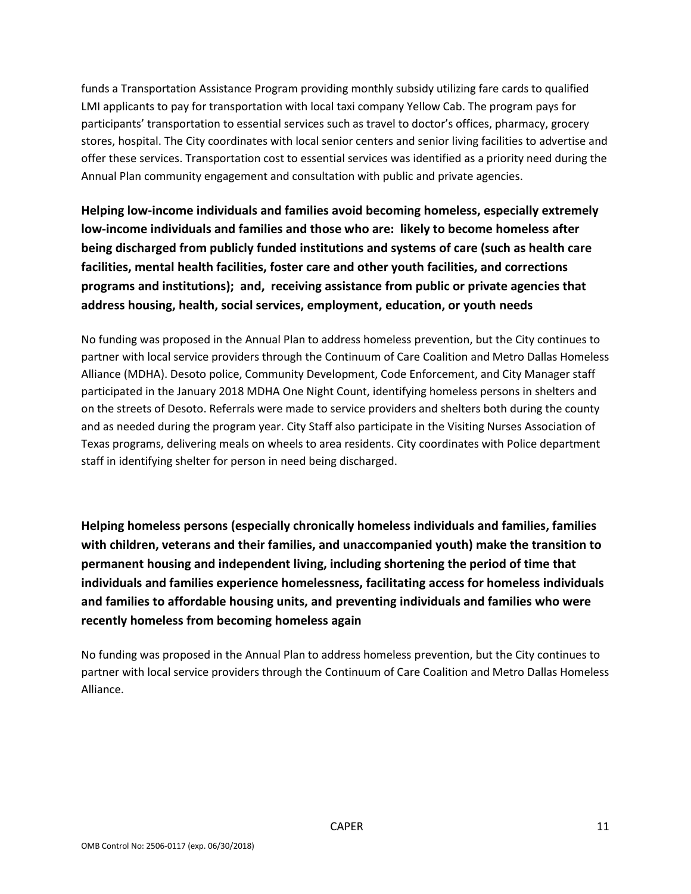funds a Transportation Assistance Program providing monthly subsidy utilizing fare cards to qualified LMI applicants to pay for transportation with local taxi company Yellow Cab. The program pays for participants' transportation to essential services such as travel to doctor's offices, pharmacy, grocery stores, hospital. The City coordinates with local senior centers and senior living facilities to advertise and offer these services. Transportation cost to essential services was identified as a priority need during the Annual Plan community engagement and consultation with public and private agencies.

**Helping low-income individuals and families avoid becoming homeless, especially extremely low-income individuals and families and those who are: likely to become homeless after being discharged from publicly funded institutions and systems of care (such as health care facilities, mental health facilities, foster care and other youth facilities, and corrections programs and institutions); and, receiving assistance from public or private agencies that address housing, health, social services, employment, education, or youth needs**

No funding was proposed in the Annual Plan to address homeless prevention, but the City continues to partner with local service providers through the Continuum of Care Coalition and Metro Dallas Homeless Alliance (MDHA). Desoto police, Community Development, Code Enforcement, and City Manager staff participated in the January 2018 MDHA One Night Count, identifying homeless persons in shelters and on the streets of Desoto. Referrals were made to service providers and shelters both during the county and as needed during the program year. City Staff also participate in the Visiting Nurses Association of Texas programs, delivering meals on wheels to area residents. City coordinates with Police department staff in identifying shelter for person in need being discharged.

**Helping homeless persons (especially chronically homeless individuals and families, families with children, veterans and their families, and unaccompanied youth) make the transition to permanent housing and independent living, including shortening the period of time that individuals and families experience homelessness, facilitating access for homeless individuals and families to affordable housing units, and preventing individuals and families who were recently homeless from becoming homeless again**

No funding was proposed in the Annual Plan to address homeless prevention, but the City continues to partner with local service providers through the Continuum of Care Coalition and Metro Dallas Homeless Alliance.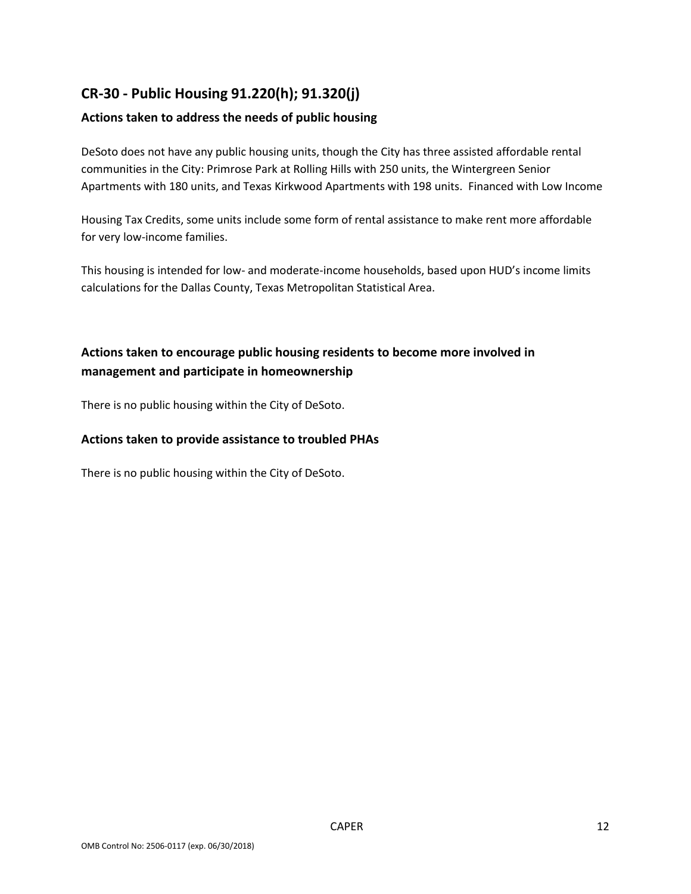## **CR-30 - Public Housing 91.220(h); 91.320(j)**

## **Actions taken to address the needs of public housing**

DeSoto does not have any public housing units, though the City has three assisted affordable rental communities in the City: Primrose Park at Rolling Hills with 250 units, the Wintergreen Senior Apartments with 180 units, and Texas Kirkwood Apartments with 198 units. Financed with Low Income

Housing Tax Credits, some units include some form of rental assistance to make rent more affordable for very low-income families.

This housing is intended for low- and moderate-income households, based upon HUD's income limits calculations for the Dallas County, Texas Metropolitan Statistical Area.

## **Actions taken to encourage public housing residents to become more involved in management and participate in homeownership**

There is no public housing within the City of DeSoto.

#### **Actions taken to provide assistance to troubled PHAs**

There is no public housing within the City of DeSoto.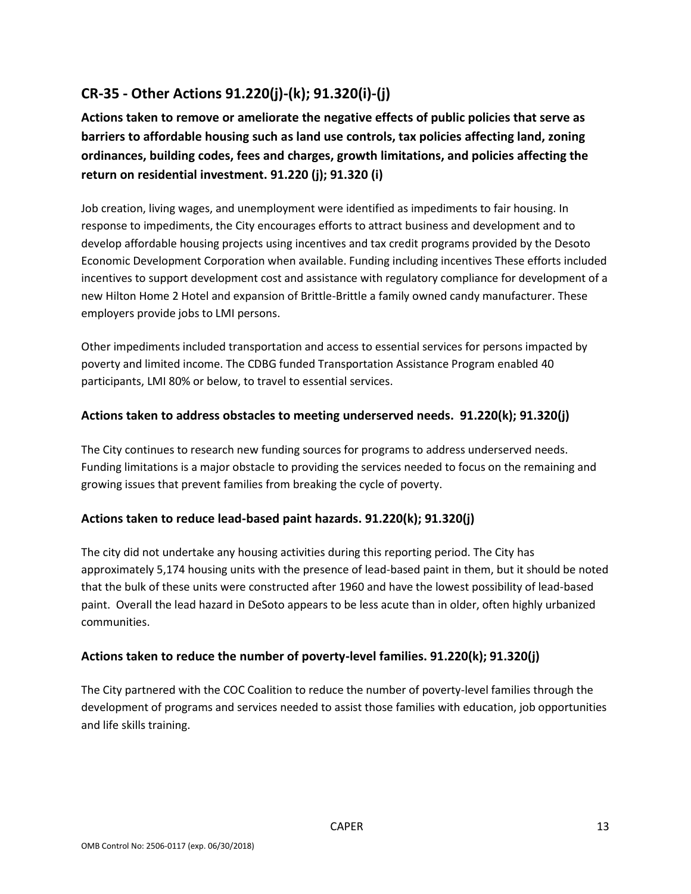## **CR-35 - Other Actions 91.220(j)-(k); 91.320(i)-(j)**

**Actions taken to remove or ameliorate the negative effects of public policies that serve as barriers to affordable housing such as land use controls, tax policies affecting land, zoning ordinances, building codes, fees and charges, growth limitations, and policies affecting the return on residential investment. 91.220 (j); 91.320 (i)**

Job creation, living wages, and unemployment were identified as impediments to fair housing. In response to impediments, the City encourages efforts to attract business and development and to develop affordable housing projects using incentives and tax credit programs provided by the Desoto Economic Development Corporation when available. Funding including incentives These efforts included incentives to support development cost and assistance with regulatory compliance for development of a new Hilton Home 2 Hotel and expansion of Brittle-Brittle a family owned candy manufacturer. These employers provide jobs to LMI persons.

Other impediments included transportation and access to essential services for persons impacted by poverty and limited income. The CDBG funded Transportation Assistance Program enabled 40 participants, LMI 80% or below, to travel to essential services.

## **Actions taken to address obstacles to meeting underserved needs. 91.220(k); 91.320(j)**

The City continues to research new funding sources for programs to address underserved needs. Funding limitations is a major obstacle to providing the services needed to focus on the remaining and growing issues that prevent families from breaking the cycle of poverty.

## **Actions taken to reduce lead-based paint hazards. 91.220(k); 91.320(j)**

The city did not undertake any housing activities during this reporting period. The City has approximately 5,174 housing units with the presence of lead-based paint in them, but it should be noted that the bulk of these units were constructed after 1960 and have the lowest possibility of lead-based paint. Overall the lead hazard in DeSoto appears to be less acute than in older, often highly urbanized communities.

#### **Actions taken to reduce the number of poverty-level families. 91.220(k); 91.320(j)**

The City partnered with the COC Coalition to reduce the number of poverty-level families through the development of programs and services needed to assist those families with education, job opportunities and life skills training.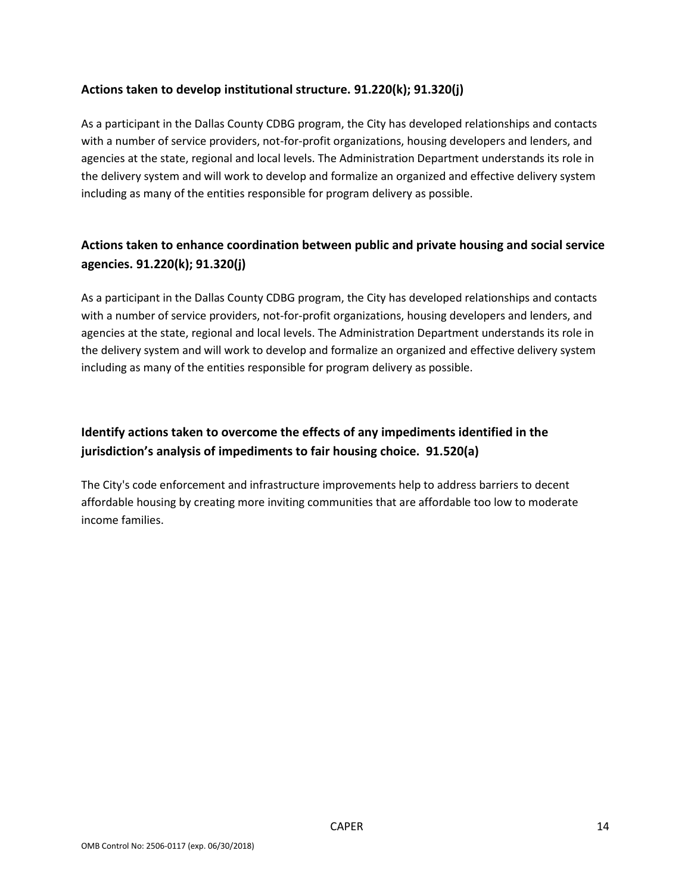#### **Actions taken to develop institutional structure. 91.220(k); 91.320(j)**

As a participant in the Dallas County CDBG program, the City has developed relationships and contacts with a number of service providers, not-for-profit organizations, housing developers and lenders, and agencies at the state, regional and local levels. The Administration Department understands its role in the delivery system and will work to develop and formalize an organized and effective delivery system including as many of the entities responsible for program delivery as possible.

## **Actions taken to enhance coordination between public and private housing and social service agencies. 91.220(k); 91.320(j)**

As a participant in the Dallas County CDBG program, the City has developed relationships and contacts with a number of service providers, not-for-profit organizations, housing developers and lenders, and agencies at the state, regional and local levels. The Administration Department understands its role in the delivery system and will work to develop and formalize an organized and effective delivery system including as many of the entities responsible for program delivery as possible.

## **Identify actions taken to overcome the effects of any impediments identified in the jurisdiction's analysis of impediments to fair housing choice. 91.520(a)**

The City's code enforcement and infrastructure improvements help to address barriers to decent affordable housing by creating more inviting communities that are affordable too low to moderate income families.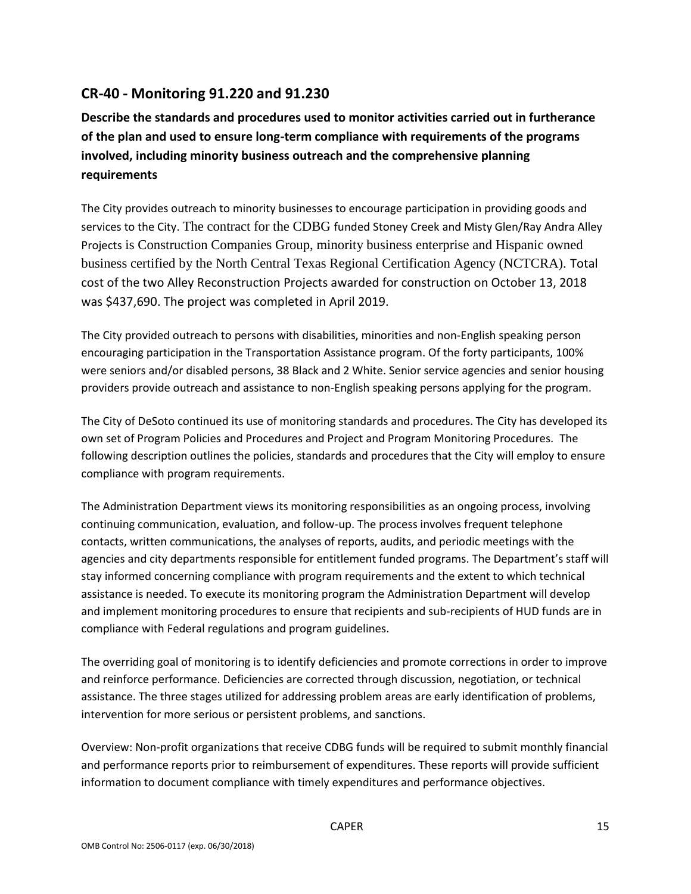## **CR-40 - Monitoring 91.220 and 91.230**

**Describe the standards and procedures used to monitor activities carried out in furtherance of the plan and used to ensure long-term compliance with requirements of the programs involved, including minority business outreach and the comprehensive planning requirements**

The City provides outreach to minority businesses to encourage participation in providing goods and services to the City. The contract for the CDBG funded Stoney Creek and Misty Glen/Ray Andra Alley Projects is Construction Companies Group, minority business enterprise and Hispanic owned business certified by the North Central Texas Regional Certification Agency (NCTCRA). Total cost of the two Alley Reconstruction Projects awarded for construction on October 13, 2018 was \$437,690. The project was completed in April 2019.

The City provided outreach to persons with disabilities, minorities and non-English speaking person encouraging participation in the Transportation Assistance program. Of the forty participants, 100% were seniors and/or disabled persons, 38 Black and 2 White. Senior service agencies and senior housing providers provide outreach and assistance to non-English speaking persons applying for the program.

The City of DeSoto continued its use of monitoring standards and procedures. The City has developed its own set of Program Policies and Procedures and Project and Program Monitoring Procedures. The following description outlines the policies, standards and procedures that the City will employ to ensure compliance with program requirements.

The Administration Department views its monitoring responsibilities as an ongoing process, involving continuing communication, evaluation, and follow-up. The process involves frequent telephone contacts, written communications, the analyses of reports, audits, and periodic meetings with the agencies and city departments responsible for entitlement funded programs. The Department's staff will stay informed concerning compliance with program requirements and the extent to which technical assistance is needed. To execute its monitoring program the Administration Department will develop and implement monitoring procedures to ensure that recipients and sub-recipients of HUD funds are in compliance with Federal regulations and program guidelines.

The overriding goal of monitoring is to identify deficiencies and promote corrections in order to improve and reinforce performance. Deficiencies are corrected through discussion, negotiation, or technical assistance. The three stages utilized for addressing problem areas are early identification of problems, intervention for more serious or persistent problems, and sanctions.

Overview: Non-profit organizations that receive CDBG funds will be required to submit monthly financial and performance reports prior to reimbursement of expenditures. These reports will provide sufficient information to document compliance with timely expenditures and performance objectives.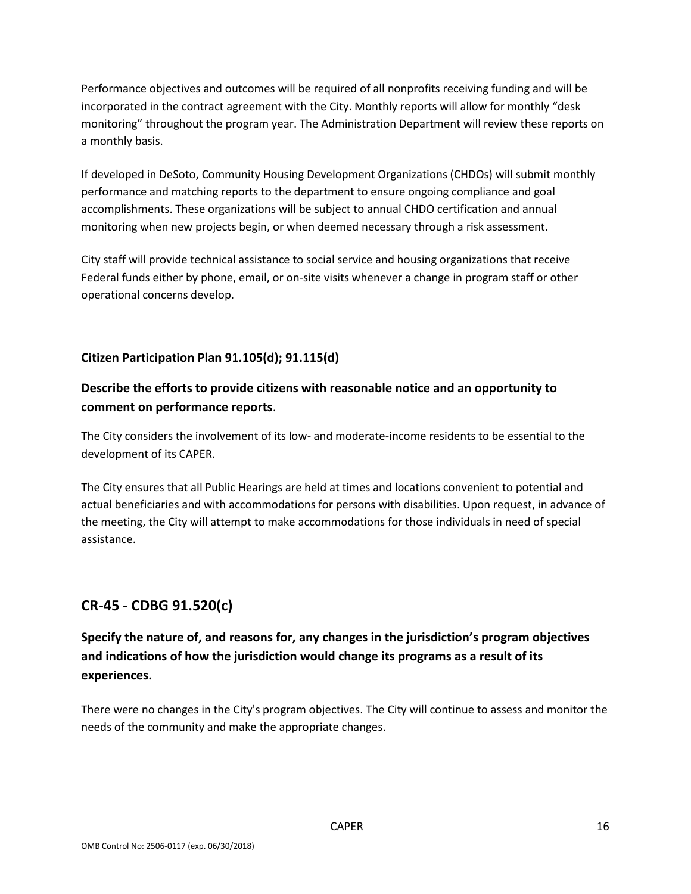Performance objectives and outcomes will be required of all nonprofits receiving funding and will be incorporated in the contract agreement with the City. Monthly reports will allow for monthly "desk monitoring" throughout the program year. The Administration Department will review these reports on a monthly basis.

If developed in DeSoto, Community Housing Development Organizations (CHDOs) will submit monthly performance and matching reports to the department to ensure ongoing compliance and goal accomplishments. These organizations will be subject to annual CHDO certification and annual monitoring when new projects begin, or when deemed necessary through a risk assessment.

City staff will provide technical assistance to social service and housing organizations that receive Federal funds either by phone, email, or on-site visits whenever a change in program staff or other operational concerns develop.

## **Citizen Participation Plan 91.105(d); 91.115(d)**

## **Describe the efforts to provide citizens with reasonable notice and an opportunity to comment on performance reports**.

The City considers the involvement of its low- and moderate-income residents to be essential to the development of its CAPER.

The City ensures that all Public Hearings are held at times and locations convenient to potential and actual beneficiaries and with accommodations for persons with disabilities. Upon request, in advance of the meeting, the City will attempt to make accommodations for those individuals in need of special assistance.

## **CR-45 - CDBG 91.520(c)**

**Specify the nature of, and reasons for, any changes in the jurisdiction's program objectives and indications of how the jurisdiction would change its programs as a result of its experiences.**

There were no changes in the City's program objectives. The City will continue to assess and monitor the needs of the community and make the appropriate changes.